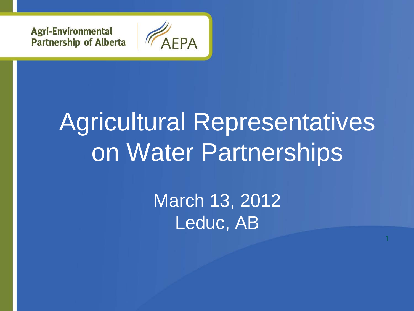**Agri-Environmental Partnership of Alberta** 



### Agricultural Representatives on Water Partnerships

March 13, 2012 Leduc, AB

1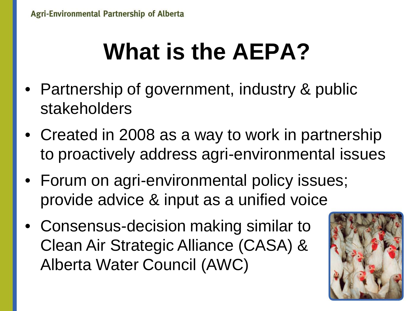### **What is the AEPA?**

- Partnership of government, industry & public stakeholders
- Created in 2008 as a way to work in partnership to proactively address agri-environmental issues
- Forum on agri-environmental policy issues; provide advice & input as a unified voice
- Consensus-decision making similar to Clean Air Strategic Alliance (CASA) & Alberta Water Council (AWC)

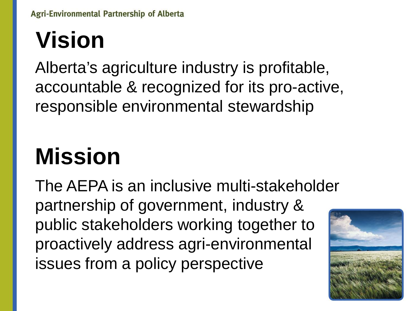### **Vision**

Alberta's agriculture industry is profitable, accountable & recognized for its pro-active, responsible environmental stewardship

### **Mission**

The AEPA is an inclusive multi-stakeholder partnership of government, industry & public stakeholders working together to proactively address agri-environmental issues from a policy perspective

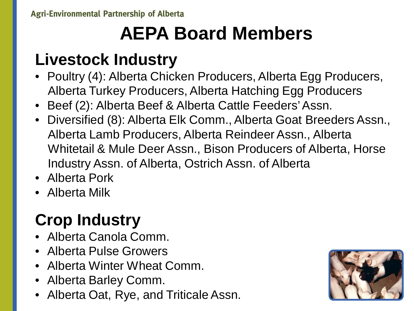### **AEPA Board Members**

#### **Livestock Industry**

- Poultry (4): Alberta Chicken Producers, Alberta Egg Producers, Alberta Turkey Producers, Alberta Hatching Egg Producers
- Beef (2): Alberta Beef & Alberta Cattle Feeders' Assn.
- Diversified (8): Alberta Elk Comm., Alberta Goat Breeders Assn., Alberta Lamb Producers, Alberta Reindeer Assn., Alberta Whitetail & Mule Deer Assn., Bison Producers of Alberta, Horse Industry Assn. of Alberta, Ostrich Assn. of Alberta
- Alberta Pork
- Alberta Milk

### **Crop Industry**

- Alberta Canola Comm.
- Alberta Pulse Growers
- Alberta Winter Wheat Comm.
- Alberta Barley Comm.
- Alberta Oat, Rye, and Triticale Assn.

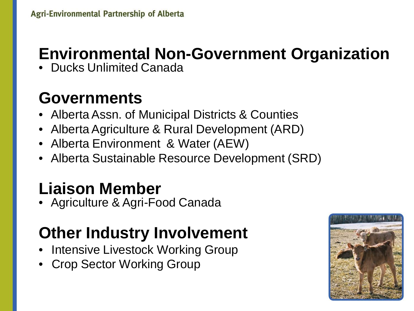#### **Environmental Non-Government Organization**

• Ducks Unlimited Canada

#### **Governments**

- Alberta Assn. of Municipal Districts & Counties
- Alberta Agriculture & Rural Development (ARD)
- Alberta Environment & Water (AEW)
- Alberta Sustainable Resource Development (SRD)

#### **Liaison Member**

• Agriculture & Agri-Food Canada

#### **Other Industry Involvement**

- Intensive Livestock Working Group
- Crop Sector Working Group

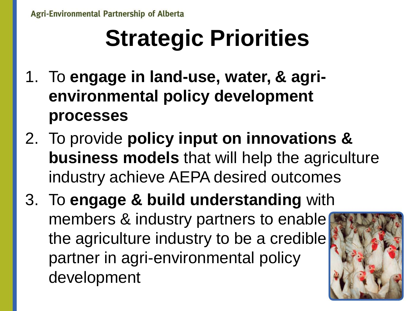## **Strategic Priorities**

- 1. To **engage in land-use, water, & agrienvironmental policy development processes**
- 2. To provide **policy input on innovations & business models** that will help the agriculture industry achieve AEPA desired outcomes
- 3. To **engage & build understanding** with members & industry partners to enable the agriculture industry to be a credible partner in agri-environmental policy development

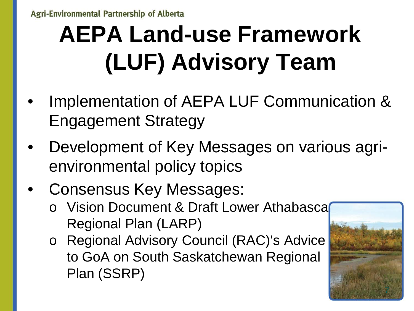## **AEPA Land-use Framework (LUF) Advisory Team**

- Implementation of AEPA LUF Communication & Engagement Strategy
- Development of Key Messages on various agrienvironmental policy topics
- Consensus Key Messages:
	- o Vision Document & Draft Lower Athabasca Regional Plan (LARP)
	- o Regional Advisory Council (RAC)'s Advice to GoA on South Saskatchewan Regional Plan (SSRP)

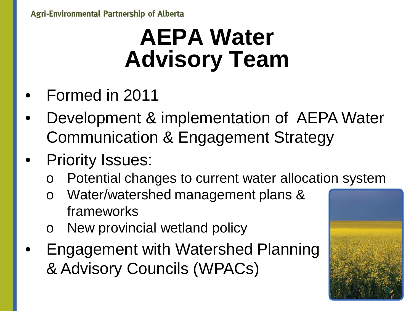### **AEPA Water Advisory Team**

- Formed in 2011
- Development & implementation of AEPA Water Communication & Engagement Strategy
- **Priority Issues:** 
	- Potential changes to current water allocation system
	- Water/watershed management plans & frameworks
	- New provincial wetland policy
- Engagement with Watershed Planning & Advisory Councils (WPACs)

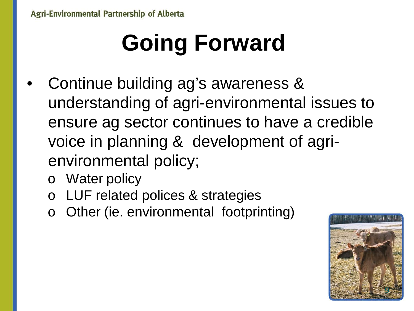# **Going Forward**

- Continue building ag's awareness & understanding of agri-environmental issues to ensure ag sector continues to have a credible voice in planning & development of agrienvironmental policy;
	- o Water policy
	- o LUF related polices & strategies
	- Other (ie. environmental footprinting)